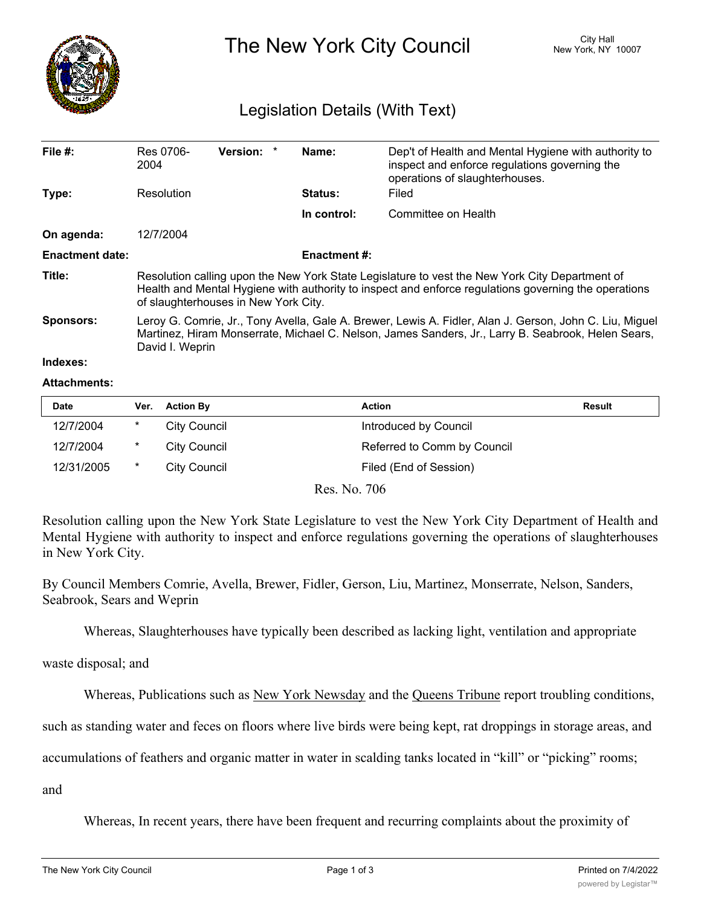

The New York City Council New York, NY 10007

## Legislation Details (With Text)

| File $#$ :             | Res 0706-<br>2004                                                                                                                                                                                                                              | <b>Version:</b> |  | Name:              | Dep't of Health and Mental Hygiene with authority to<br>inspect and enforce regulations governing the<br>operations of slaughterhouses. |  |  |
|------------------------|------------------------------------------------------------------------------------------------------------------------------------------------------------------------------------------------------------------------------------------------|-----------------|--|--------------------|-----------------------------------------------------------------------------------------------------------------------------------------|--|--|
| Type:                  | Resolution                                                                                                                                                                                                                                     |                 |  | <b>Status:</b>     | Filed                                                                                                                                   |  |  |
|                        |                                                                                                                                                                                                                                                |                 |  | In control:        | Committee on Health                                                                                                                     |  |  |
| On agenda:             | 12/7/2004                                                                                                                                                                                                                                      |                 |  |                    |                                                                                                                                         |  |  |
| <b>Enactment date:</b> |                                                                                                                                                                                                                                                |                 |  | <b>Enactment#:</b> |                                                                                                                                         |  |  |
| Title:                 | Resolution calling upon the New York State Legislature to vest the New York City Department of<br>Health and Mental Hygiene with authority to inspect and enforce regulations governing the operations<br>of slaughterhouses in New York City. |                 |  |                    |                                                                                                                                         |  |  |
| <b>Sponsors:</b>       | Leroy G. Comrie, Jr., Tony Avella, Gale A. Brewer, Lewis A. Fidler, Alan J. Gerson, John C. Liu, Miguel<br>Martinez, Hiram Monserrate, Michael C. Nelson, James Sanders, Jr., Larry B. Seabrook, Helen Sears,<br>David I. Weprin               |                 |  |                    |                                                                                                                                         |  |  |
| Indexes:               |                                                                                                                                                                                                                                                |                 |  |                    |                                                                                                                                         |  |  |

## **Attachments:**

| Date       | Ver. | <b>Action By</b>    | <b>Action</b>               | Result |
|------------|------|---------------------|-----------------------------|--------|
| 12/7/2004  | *    | City Council        | Introduced by Council       |        |
| 12/7/2004  | *    | City Council        | Referred to Comm by Council |        |
| 12/31/2005 | *    | <b>City Council</b> | Filed (End of Session)      |        |

Res. No. 706

Resolution calling upon the New York State Legislature to vest the New York City Department of Health and Mental Hygiene with authority to inspect and enforce regulations governing the operations of slaughterhouses in New York City.

By Council Members Comrie, Avella, Brewer, Fidler, Gerson, Liu, Martinez, Monserrate, Nelson, Sanders, Seabrook, Sears and Weprin

Whereas, Slaughterhouses have typically been described as lacking light, ventilation and appropriate

waste disposal; and

Whereas, Publications such as New York Newsday and the Queens Tribune report troubling conditions,

such as standing water and feces on floors where live birds were being kept, rat droppings in storage areas, and

accumulations of feathers and organic matter in water in scalding tanks located in "kill" or "picking" rooms;

and

Whereas, In recent years, there have been frequent and recurring complaints about the proximity of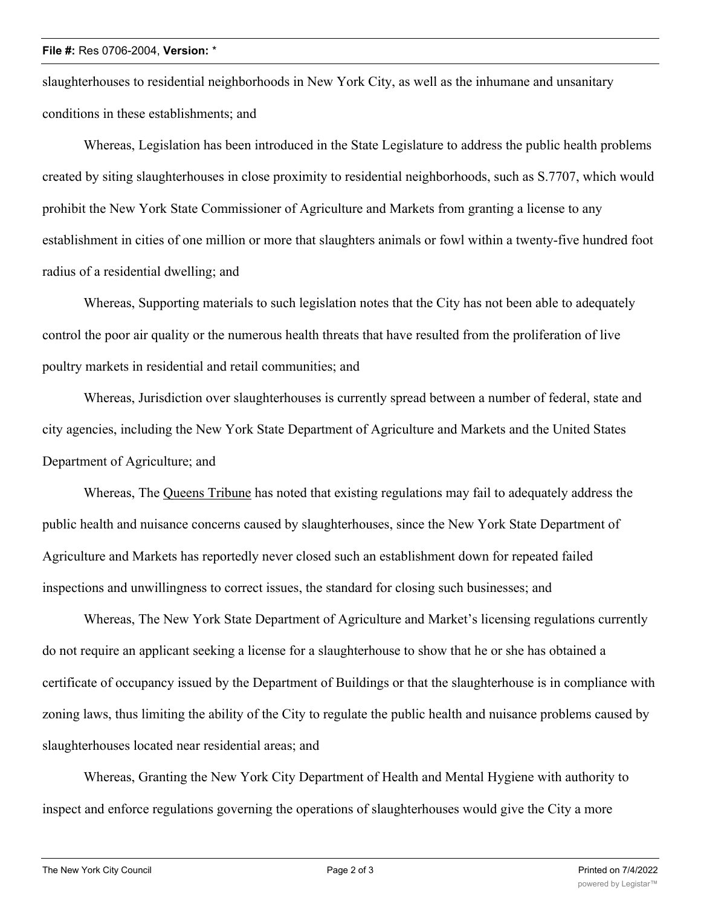## **File #:** Res 0706-2004, **Version:** \*

slaughterhouses to residential neighborhoods in New York City, as well as the inhumane and unsanitary conditions in these establishments; and

Whereas, Legislation has been introduced in the State Legislature to address the public health problems created by siting slaughterhouses in close proximity to residential neighborhoods, such as S.7707, which would prohibit the New York State Commissioner of Agriculture and Markets from granting a license to any establishment in cities of one million or more that slaughters animals or fowl within a twenty-five hundred foot radius of a residential dwelling; and

Whereas, Supporting materials to such legislation notes that the City has not been able to adequately control the poor air quality or the numerous health threats that have resulted from the proliferation of live poultry markets in residential and retail communities; and

Whereas, Jurisdiction over slaughterhouses is currently spread between a number of federal, state and city agencies, including the New York State Department of Agriculture and Markets and the United States Department of Agriculture; and

Whereas, The Queens Tribune has noted that existing regulations may fail to adequately address the public health and nuisance concerns caused by slaughterhouses, since the New York State Department of Agriculture and Markets has reportedly never closed such an establishment down for repeated failed inspections and unwillingness to correct issues, the standard for closing such businesses; and

Whereas, The New York State Department of Agriculture and Market's licensing regulations currently do not require an applicant seeking a license for a slaughterhouse to show that he or she has obtained a certificate of occupancy issued by the Department of Buildings or that the slaughterhouse is in compliance with zoning laws, thus limiting the ability of the City to regulate the public health and nuisance problems caused by slaughterhouses located near residential areas; and

Whereas, Granting the New York City Department of Health and Mental Hygiene with authority to inspect and enforce regulations governing the operations of slaughterhouses would give the City a more